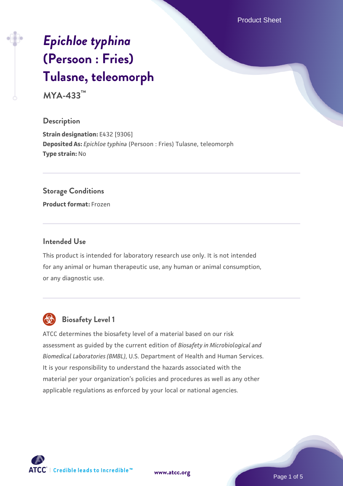Product Sheet

# *[Epichloe typhina](https://www.atcc.org/products/mya-433)* **[\(Persoon : Fries\)](https://www.atcc.org/products/mya-433) [Tulasne, teleomorph](https://www.atcc.org/products/mya-433)**

**MYA-433™**

#### **Description**

**Strain designation:** E432 [9306] **Deposited As:** *Epichloe typhina* (Persoon : Fries) Tulasne, teleomorph **Type strain:** No

#### **Storage Conditions**

**Product format:** Frozen

#### **Intended Use**

This product is intended for laboratory research use only. It is not intended for any animal or human therapeutic use, any human or animal consumption, or any diagnostic use.



# **Biosafety Level 1**

ATCC determines the biosafety level of a material based on our risk assessment as guided by the current edition of *Biosafety in Microbiological and Biomedical Laboratories (BMBL)*, U.S. Department of Health and Human Services. It is your responsibility to understand the hazards associated with the material per your organization's policies and procedures as well as any other applicable regulations as enforced by your local or national agencies.

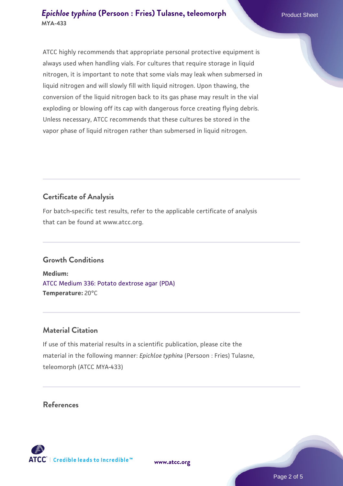ATCC highly recommends that appropriate personal protective equipment is always used when handling vials. For cultures that require storage in liquid nitrogen, it is important to note that some vials may leak when submersed in liquid nitrogen and will slowly fill with liquid nitrogen. Upon thawing, the conversion of the liquid nitrogen back to its gas phase may result in the vial exploding or blowing off its cap with dangerous force creating flying debris. Unless necessary, ATCC recommends that these cultures be stored in the vapor phase of liquid nitrogen rather than submersed in liquid nitrogen.

## **Certificate of Analysis**

For batch-specific test results, refer to the applicable certificate of analysis that can be found at www.atcc.org.

## **Growth Conditions**

**Medium:**  [ATCC Medium 336: Potato dextrose agar \(PDA\)](https://www.atcc.org/-/media/product-assets/documents/microbial-media-formulations/3/3/6/atcc-medium-336.pdf?rev=d9160ad44d934cd8b65175461abbf3b9) **Temperature:** 20°C

## **Material Citation**

If use of this material results in a scientific publication, please cite the material in the following manner: *Epichloe typhina* (Persoon : Fries) Tulasne, teleomorph (ATCC MYA-433)

#### **References**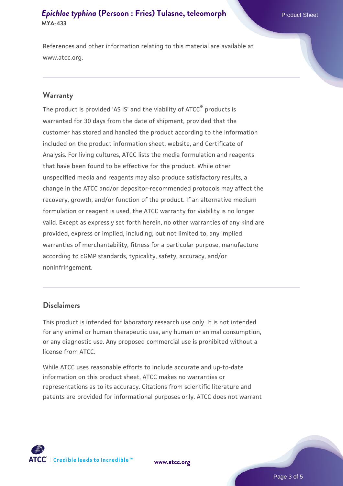#### *[Epichloe typhina](https://www.atcc.org/products/mya-433)* [\(Persoon : Fries\) Tulasne, teleomorph](https://www.atcc.org/products/mya-433) Product Sheet **MYA-433**

References and other information relating to this material are available at www.atcc.org.

#### **Warranty**

The product is provided 'AS IS' and the viability of ATCC® products is warranted for 30 days from the date of shipment, provided that the customer has stored and handled the product according to the information included on the product information sheet, website, and Certificate of Analysis. For living cultures, ATCC lists the media formulation and reagents that have been found to be effective for the product. While other unspecified media and reagents may also produce satisfactory results, a change in the ATCC and/or depositor-recommended protocols may affect the recovery, growth, and/or function of the product. If an alternative medium formulation or reagent is used, the ATCC warranty for viability is no longer valid. Except as expressly set forth herein, no other warranties of any kind are provided, express or implied, including, but not limited to, any implied warranties of merchantability, fitness for a particular purpose, manufacture according to cGMP standards, typicality, safety, accuracy, and/or noninfringement.

#### **Disclaimers**

This product is intended for laboratory research use only. It is not intended for any animal or human therapeutic use, any human or animal consumption, or any diagnostic use. Any proposed commercial use is prohibited without a license from ATCC.

While ATCC uses reasonable efforts to include accurate and up-to-date information on this product sheet, ATCC makes no warranties or representations as to its accuracy. Citations from scientific literature and patents are provided for informational purposes only. ATCC does not warrant

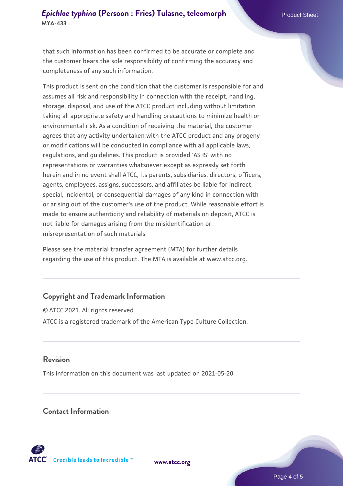## *[Epichloe typhina](https://www.atcc.org/products/mya-433)* [\(Persoon : Fries\) Tulasne, teleomorph](https://www.atcc.org/products/mya-433) Product Sheet **MYA-433**

that such information has been confirmed to be accurate or complete and the customer bears the sole responsibility of confirming the accuracy and completeness of any such information.

This product is sent on the condition that the customer is responsible for and assumes all risk and responsibility in connection with the receipt, handling, storage, disposal, and use of the ATCC product including without limitation taking all appropriate safety and handling precautions to minimize health or environmental risk. As a condition of receiving the material, the customer agrees that any activity undertaken with the ATCC product and any progeny or modifications will be conducted in compliance with all applicable laws, regulations, and guidelines. This product is provided 'AS IS' with no representations or warranties whatsoever except as expressly set forth herein and in no event shall ATCC, its parents, subsidiaries, directors, officers, agents, employees, assigns, successors, and affiliates be liable for indirect, special, incidental, or consequential damages of any kind in connection with or arising out of the customer's use of the product. While reasonable effort is made to ensure authenticity and reliability of materials on deposit, ATCC is not liable for damages arising from the misidentification or misrepresentation of such materials.

Please see the material transfer agreement (MTA) for further details regarding the use of this product. The MTA is available at www.atcc.org.

## **Copyright and Trademark Information**

© ATCC 2021. All rights reserved. ATCC is a registered trademark of the American Type Culture Collection.

#### **Revision**

This information on this document was last updated on 2021-05-20

#### **Contact Information**



**[www.atcc.org](http://www.atcc.org)**

Page 4 of 5